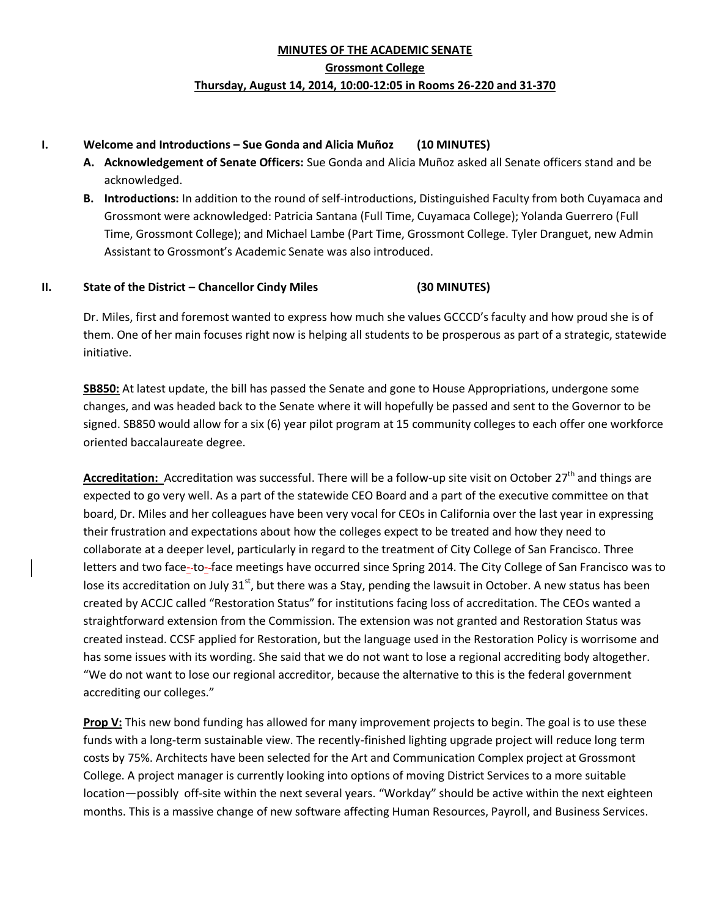# **MINUTES OF THE ACADEMIC SENATE Grossmont College Thursday, August 14, 2014, 10:00-12:05 in Rooms 26-220 and 31-370**

### **I. Welcome and Introductions – Sue Gonda and Alicia Muñoz (10 MINUTES)**

- **A. Acknowledgement of Senate Officers:** Sue Gonda and Alicia Muñoz asked all Senate officers stand and be acknowledged.
- **B. Introductions:** In addition to the round of self-introductions, Distinguished Faculty from both Cuyamaca and Grossmont were acknowledged: Patricia Santana (Full Time, Cuyamaca College); Yolanda Guerrero (Full Time, Grossmont College); and Michael Lambe (Part Time, Grossmont College. Tyler Dranguet, new Admin Assistant to Grossmont's Academic Senate was also introduced.

# **II. State of the District – Chancellor Cindy Miles (30 MINUTES)**

Dr. Miles, first and foremost wanted to express how much she values GCCCD's faculty and how proud she is of them. One of her main focuses right now is helping all students to be prosperous as part of a strategic, statewide initiative.

**SB850:** At latest update, the bill has passed the Senate and gone to House Appropriations, undergone some changes, and was headed back to the Senate where it will hopefully be passed and sent to the Governor to be signed. SB850 would allow for a six (6) year pilot program at 15 community colleges to each offer one workforce oriented baccalaureate degree.

Accreditation: Accreditation was successful. There will be a follow-up site visit on October 27<sup>th</sup> and things are expected to go very well. As a part of the statewide CEO Board and a part of the executive committee on that board, Dr. Miles and her colleagues have been very vocal for CEOs in California over the last year in expressing their frustration and expectations about how the colleges expect to be treated and how they need to collaborate at a deeper level, particularly in regard to the treatment of City College of San Francisco. Three letters and two face--to--face meetings have occurred since Spring 2014. The City College of San Francisco was to lose its accreditation on July 31<sup>st</sup>, but there was a Stay, pending the lawsuit in October. A new status has been created by ACCJC called "Restoration Status" for institutions facing loss of accreditation. The CEOs wanted a straightforward extension from the Commission. The extension was not granted and Restoration Status was created instead. CCSF applied for Restoration, but the language used in the Restoration Policy is worrisome and has some issues with its wording. She said that we do not want to lose a regional accrediting body altogether. "We do not want to lose our regional accreditor, because the alternative to this is the federal government accrediting our colleges."

**Prop V:** This new bond funding has allowed for many improvement projects to begin. The goal is to use these funds with a long-term sustainable view. The recently-finished lighting upgrade project will reduce long term costs by 75%. Architects have been selected for the Art and Communication Complex project at Grossmont College. A project manager is currently looking into options of moving District Services to a more suitable location—possibly off-site within the next several years. "Workday" should be active within the next eighteen months. This is a massive change of new software affecting Human Resources, Payroll, and Business Services.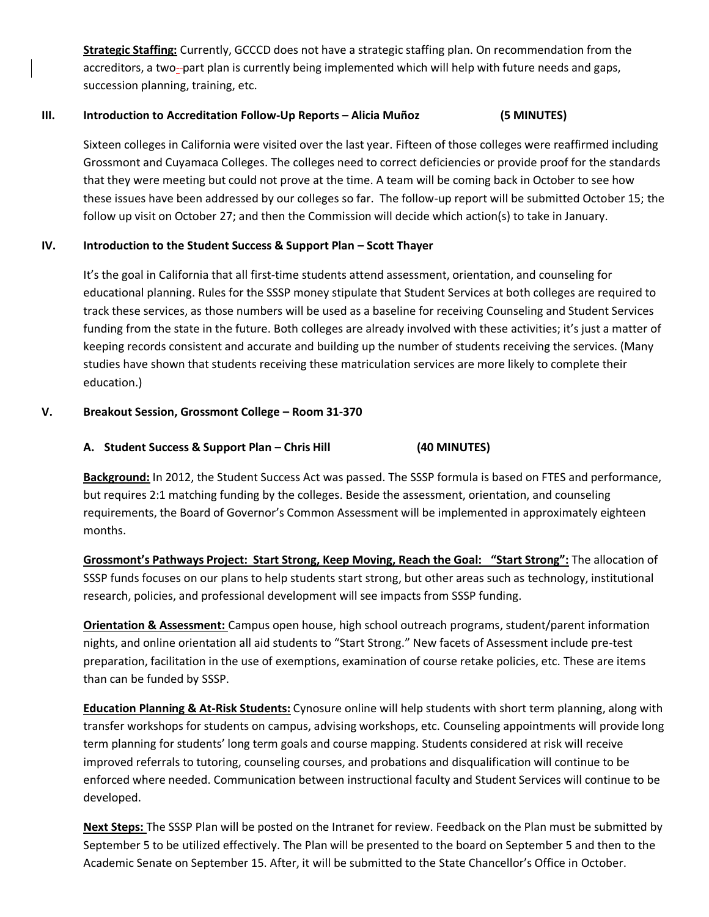**Strategic Staffing:** Currently, GCCCD does not have a strategic staffing plan. On recommendation from the accreditors, a two-part plan is currently being implemented which will help with future needs and gaps, succession planning, training, etc.

#### **III. Introduction to Accreditation Follow-Up Reports – Alicia Muñoz (5 MINUTES)**

Sixteen colleges in California were visited over the last year. Fifteen of those colleges were reaffirmed including Grossmont and Cuyamaca Colleges. The colleges need to correct deficiencies or provide proof for the standards that they were meeting but could not prove at the time. A team will be coming back in October to see how these issues have been addressed by our colleges so far. The follow-up report will be submitted October 15; the follow up visit on October 27; and then the Commission will decide which action(s) to take in January.

# **IV.** Introduction to the Student Success & Support Plan – Scott Thayer

It's the goal in California that all first-time students attend assessment, orientation, and counseling for educational planning. Rules for the SSSP money stipulate that Student Services at both colleges are required to track these services, as those numbers will be used as a baseline for receiving Counseling and Student Services funding from the state in the future. Both colleges are already involved with these activities; it's just a matter of keeping records consistent and accurate and building up the number of students receiving the services. (Many studies have shown that students receiving these matriculation services are more likely to complete their education.)

# **V. Breakout Session, Grossmont College – Room 31-370**

# **A. Student Success & Support Plan – Chris Hill (40 MINUTES)**

**Background:** In 2012, the Student Success Act was passed. The SSSP formula is based on FTES and performance, but requires 2:1 matching funding by the colleges. Beside the assessment, orientation, and counseling requirements, the Board of Governor's Common Assessment will be implemented in approximately eighteen months.

**Grossmont's Pathways Project: Start Strong, Keep Moving, Reach the Goal: "Start Strong":** The allocation of SSSP funds focuses on our plans to help students start strong, but other areas such as technology, institutional research, policies, and professional development will see impacts from SSSP funding.

**Orientation & Assessment:** Campus open house, high school outreach programs, student/parent information nights, and online orientation all aid students to "Start Strong." New facets of Assessment include pre-test preparation, facilitation in the use of exemptions, examination of course retake policies, etc. These are items than can be funded by SSSP.

**Education Planning & At-Risk Students:** Cynosure online will help students with short term planning, along with transfer workshops for students on campus, advising workshops, etc. Counseling appointments will provide long term planning for students' long term goals and course mapping. Students considered at risk will receive improved referrals to tutoring, counseling courses, and probations and disqualification will continue to be enforced where needed. Communication between instructional faculty and Student Services will continue to be developed.

**Next Steps:** The SSSP Plan will be posted on the Intranet for review. Feedback on the Plan must be submitted by September 5 to be utilized effectively. The Plan will be presented to the board on September 5 and then to the Academic Senate on September 15. After, it will be submitted to the State Chancellor's Office in October.